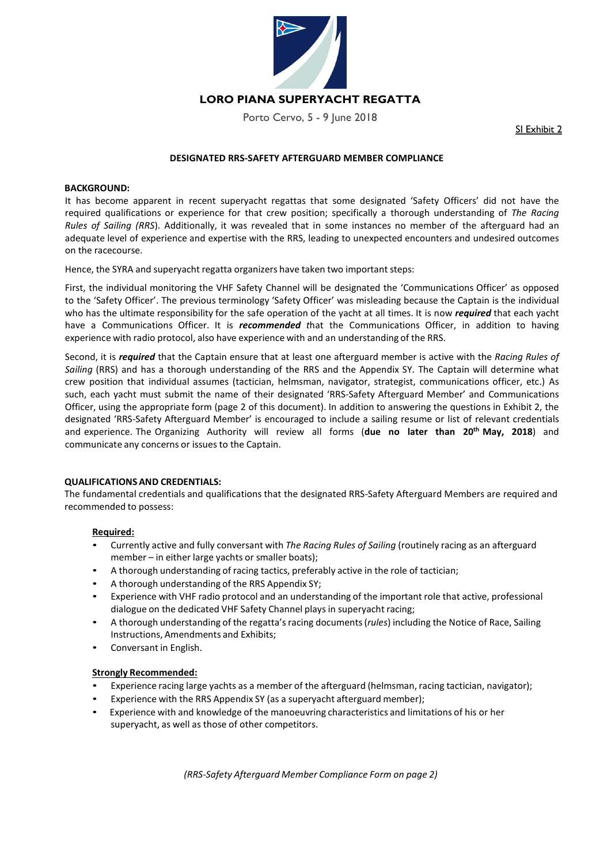

## **LORO PIANA SUPERYACHT REGATTA**

Porto Cervo, 5 - 9 June 2018

SI Exhibit 2

### **DESIGNATED RRS‐SAFETY AFTERGUARD MEMBER COMPLIANCE**

#### **BACKGROUND:**

It has become apparent in recent superyacht regattas that some designated 'Safety Officers' did not have the required qualifications or experience for that crew position; specifically a thorough understanding of *The Racing Rules of Sailing (RRS).* Additionally, it was revealed that in some instances no member of the afterguard had an adequate level of experience and expertise with the RRS, leading to unexpected encounters and undesired outcomes on the racecourse.

Hence, the SYRA and superyacht regatta organizers have taken two important steps:

First, the individual monitoring the VHF Safety Channel will be designated the 'Communications Officer' as opposed to the 'Safety Officer'. The previous terminology 'Safety Officer' was misleading because the Captain is the individual who has the ultimate responsibility for the safe operation of the yacht at all times. It is now *required* that each yacht have a Communications Officer. It is *recommended t*hat the Communications Officer, in addition to having experience with radio protocol, also have experience with and an understanding of the RRS.

Second, it is *required* that the Captain ensure that at least one afterguard member is active with the *Racing Rules of Sailing* (RRS) and has a thorough understanding of the RRS and the Appendix SY. The Captain will determine what crew position that individual assumes (tactician, helmsman, navigator, strategist, communications officer, etc.) As such, each yacht must submit the name of their designated 'RRS-Safety Afterguard Member' and Communications Officer, using the appropriate form (page 2 of this document). In addition to answering the questions in Exhibit 2, the designated 'RRS‐Safety Afterguard Member' is encouraged to include a sailing resume or list of relevant credentials and experience. The Organizing Authority will review all forms (due no later than 20<sup>th</sup> May, 2018) and communicate any concerns or issues to the Captain.

#### **QUALIFICATIONS AND CREDENTIALS:**

The fundamental credentials and qualifications that the designated RRS‐Safety Afterguard Members are required and recommended to possess:

#### **Required:**

- Currently active and fully conversant with *The Racing Rules of Sailing* (routinely racing as an afterguard member – in either large yachts or smaller boats);
- A thorough understanding of racing tactics, preferably active in the role of tactician;
- A thorough understanding of the RRS Appendix SY;
- Experience with VHF radio protocol and an understanding of the important role that active, professional dialogue on the dedicated VHF Safety Channel plays in superyacht racing;
- A thorough understanding of the regatta's racing documents (*rules*) including the Notice of Race, Sailing Instructions, Amendments and Exhibits;
- Conversant in English.

#### **Strongly Recommended:**

- Experience racing large yachts as a member of the afterguard (helmsman, racing tactician, navigator);
- Experience with the RRS Appendix SY (as a superyacht afterguard member);
- Experience with and knowledge of the manoeuvring characteristics and limitations of his or her superyacht, as well as those of other competitors.

*(RRS‐Safety Afterguard Member Compliance Form on page 2)*